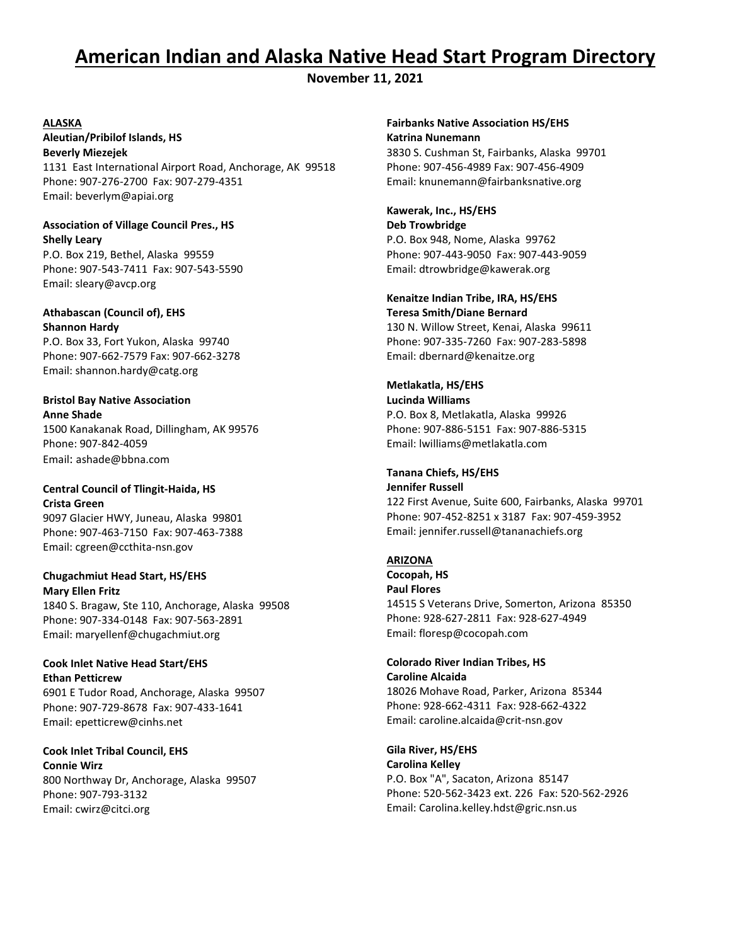# **American Indian and Alaska Native Head Start Program Directory**

**November 11, 2021**

#### **ALASKA**

**Aleutian/Pribilof Islands, HS Beverly Miezejek** 1131 East International Airport Road, Anchorage, AK 99518 Phone: 907-276-2700 Fax: 907-279-4351 Email: beverlym@apiai.org

#### **Association of Village Council Pres., HS Shelly Leary**

P.O. Box 219, Bethel, Alaska 99559 Phone: 907-543-7411 Fax: 907-543-5590 Email: sleary@avcp.org

#### **Athabascan (Council of), EHS Shannon Hardy**

P.O. Box 33, Fort Yukon, Alaska 99740 Phone: 907-662-7579 Fax: 907-662-3278 Email: shannon.hardy@catg.org

### **Bristol Bay Native Association Anne Shade**

1500 Kanakanak Road, Dillingham, AK 99576 Phone: 907-842-4059 Email: ashade@bbna.com

### **Central Council of Tlingit-Haida, HS Crista Green**

9097 Glacier HWY, Juneau, Alaska 99801 Phone: 907-463-7150 Fax: 907-463-7388 Email: cgreen@ccthita-nsn.gov

### **Chugachmiut Head Start, HS/EHS Mary Ellen Fritz**

1840 S. Bragaw, Ste 110, Anchorage, Alaska 99508 Phone: 907-334-0148 Fax: 907-563-2891 Email: maryellenf@chugachmiut.org

#### **Cook Inlet Native Head Start/EHS Ethan Petticrew**

6901 E Tudor Road, Anchorage, Alaska 99507 Phone: 907-729-8678 Fax: 907-433-1641 Email: epetticrew@cinhs.net

**Cook Inlet Tribal Council, EHS Connie Wirz** 800 Northway Dr, Anchorage, Alaska 99507 Phone: 907-793-3132 Email: cwirz@citci.org

### **Fairbanks Native Association HS/EHS Katrina Nunemann**

3830 S. Cushman St, Fairbanks, Alaska 99701 Phone: 907-456-4989 Fax: 907-456-4909 Email: knunemann@fairbanksnative.org

### **Kawerak, Inc., HS/EHS Deb Trowbridge** P.O. Box 948, Nome, Alaska 99762 Phone: 907-443-9050 Fax: 907-443-9059 Email: dtrowbridge@kawerak.org

**Kenaitze Indian Tribe, IRA, HS/EHS Teresa Smith/Diane Bernard** 130 N. Willow Street, Kenai, Alaska 99611 Phone: 907-335-7260 Fax: 907-283-5898

Email: dbernard@kenaitze.org

# **Metlakatla, HS/EHS**

**Lucinda Williams** P.O. Box 8, Metlakatla, Alaska 99926 Phone: 907-886-5151 Fax: 907-886-5315 Email: lwilliams@metlakatla.com

### **Tanana Chiefs, HS/EHS**

**Jennifer Russell** 122 First Avenue, Suite 600, Fairbanks, Alaska 99701 Phone: 907-452-8251 x 3187 Fax: 907-459-3952 Email: jennifer.russell@tananachiefs.org

### **ARIZONA**

**Cocopah, HS Paul Flores** 14515 S Veterans Drive, Somerton, Arizona 85350 Phone: 928-627-2811 Fax: 928-627-4949 Email: floresp@cocopah.com

#### **Colorado River Indian Tribes, HS Caroline Alcaida**

18026 Mohave Road, Parker, Arizona 85344 Phone: 928-662-4311 Fax: 928-662-4322 Email: caroline.alcaida@crit-nsn.gov

### **Gila River, HS/EHS Carolina Kelley** P.O. Box "A", Sacaton, Arizona 85147 Phone: 520-562-3423 ext. 226 Fax: 520-562-2926 Email: Carolina.kelley.hdst@gric.nsn.us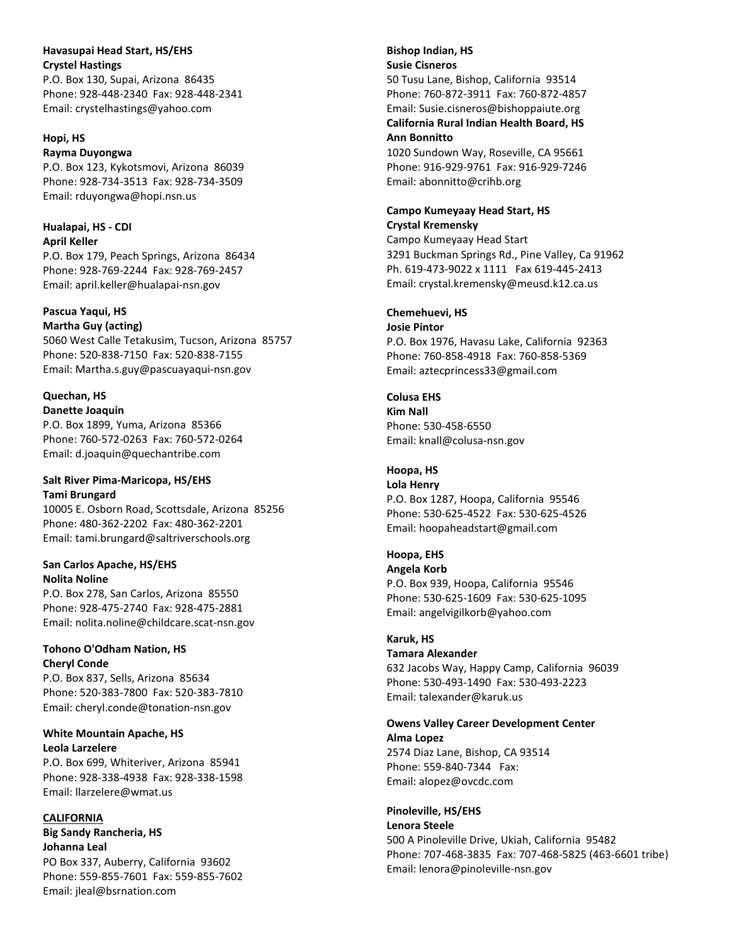#### **Havasupai Head Start, HS/EHS Crystel Hastings**

P.O. Box 130, Supai, Arizona 86435 Phone: 928-448-2340 Fax: 928-448-2341 Email: crystelhastings@yahoo.com

#### **Hopi, HS**

**Rayma Duyongwa** P.O. Box 123, Kykotsmovi, Arizona 86039 Phone: 928-734-3513 Fax: 928-734-3509 Email: rduyongwa@hopi.nsn.us

### **Hualapai, HS - CDI**

**April Keller** P.O. Box 179, Peach Springs, Arizona 86434 Phone: 928-769-2244 Fax: 928-769-2457 Email: april.keller@hualapai-nsn.gov

#### **Pascua Yaqui, HS Martha Guy (acting)**

5060 West Calle Tetakusim, Tucson, Arizona 85757 Phone: 520-838-7150 Fax: 520-838-7155 Email: Martha.s.guy@pascuayaqui-nsn.gov

# **Quechan, HS**

**Danette Joaquin** P.O. Box 1899, Yuma, Arizona 85366 Phone: 760-572-0263 Fax: 760-572-0264 Email: d.joaquin@quechantribe.com

### **Salt River Pima-Maricopa, HS/EHS Tami Brungard**

10005 E. Osborn Road, Scottsdale, Arizona 85256 Phone: 480-362-2202 Fax: 480-362-2201 Email: tami.brungard@saltriverschools.org

### **San Carlos Apache, HS/EHS Nolita Noline**

P.O. Box 278, San Carlos, Arizona 85550 Phone: 928-475-2740 Fax: 928-475-2881 Email: nolita.noline@childcare.scat-nsn.gov

### **Tohono O'Odham Nation, HS Cheryl Conde**

P.O. Box 837, Sells, Arizona 85634 Phone: 520-383-7800 Fax: 520-383-7810 Email: cheryl.conde@tonation-nsn.gov

#### **White Mountain Apache, HS Leola Larzelere**

P.O. Box 699, Whiteriver, Arizona 85941 Phone: 928-338-4938 Fax: 928-338-1598 Email: llarzelere@wmat.us

### **CALIFORNIA**

**Big Sandy Rancheria, HS Johanna Leal** PO Box 337, Auberry, California 93602 Phone: 559-855-7601 Fax: 559-855-7602 Email: jleal@bsrnation.com

### **Bishop Indian, HS Susie Cisneros** 50 Tusu Lane, Bishop, California 93514 Phone: 760-872-3911 Fax: 760-872-4857 Email: Susie.cisneros@bishoppaiute.org **California Rural Indian Health Board, HS Ann Bonnitto** 1020 Sundown Way, Roseville, CA 95661

Phone: 916-929-9761 Fax: 916-929-7246 Email: abonnitto@crihb.org

#### **Campo Kumeyaay Head Start, HS Crystal Kremensky**

Campo Kumeyaay Head Start 3291 Buckman Springs Rd., Pine Valley, Ca 91962 Ph. 619-473-9022 x 1111 Fax 619-445-2413 Email: crystal.kremensky@meusd.k12.ca.us

### **Chemehuevi, HS**

**Josie Pintor** P.O. Box 1976, Havasu Lake, California 92363 Phone: 760-858-4918 Fax: 760-858-5369 Email: aztecprincess33@gmail.com

### **Colusa EHS**

**Kim Nall** Phone: 530-458-6550 Email: knall@colusa-nsn.gov

### **Hoopa, HS**

**Lola Henry** P.O. Box 1287, Hoopa, California 95546 Phone: 530-625-4522 Fax: 530-625-4526 Email: hoopaheadstart@gmail.com

# **Hoopa, EHS**

**Angela Korb** P.O. Box 939, Hoopa, California 95546 Phone: 530-625-1609 Fax: 530-625-1095 Email: angelvigilkorb@yahoo.com

### **Karuk, HS**

**Tamara Alexander**

632 Jacobs Way, Happy Camp, California 96039 Phone: 530-493-1490 Fax: 530-493-2223 Email: talexander@karuk.us

#### **Owens Valley Career Development Center Alma Lopez**

2574 Diaz Lane, Bishop, CA 93514 Phone: 559-840-7344 Fax: Email: alopez@ovcdc.com

#### **Pinoleville, HS/EHS Lenora Steele**

500 A Pinoleville Drive, Ukiah, California 95482 Phone: 707-468-3835 Fax: 707-468-5825 (463-6601 tribe) Email: lenora@pinoleville-nsn.gov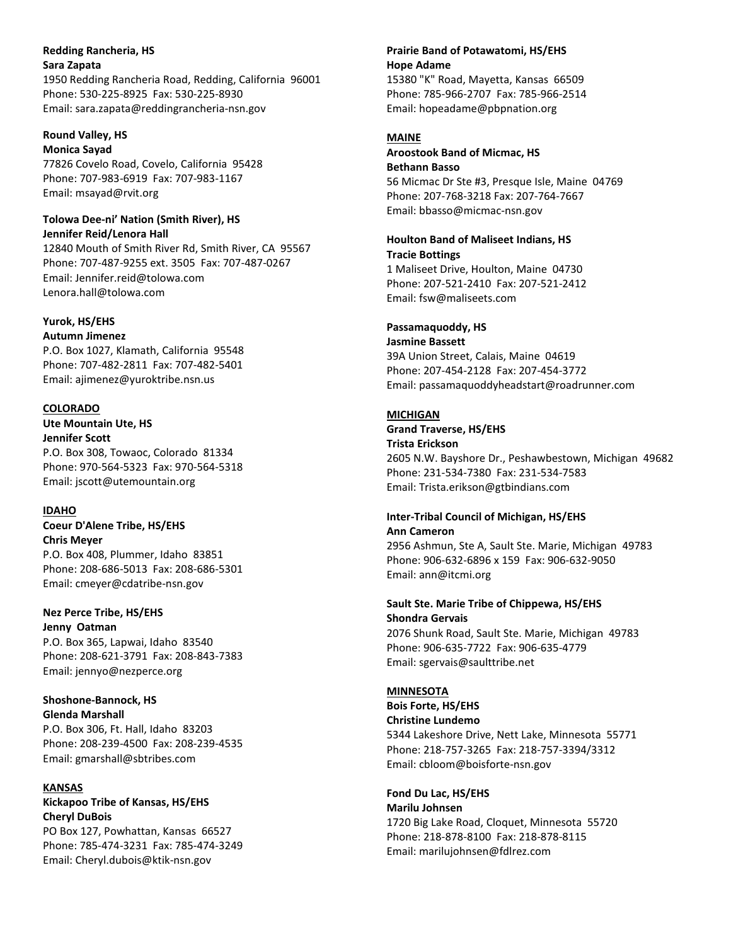### **Redding Rancheria, HS Sara Zapata**

1950 Redding Rancheria Road, Redding, California 96001 Phone: 530-225-8925 Fax: 530-225-8930 Email: sara.zapata@reddingrancheria-nsn.gov

#### **Round Valley, HS Monica Sayad**

77826 Covelo Road, Covelo, California 95428 Phone: 707-983-6919 Fax: 707-983-1167 Email: msayad@rvit.org

#### **Tolowa Dee-ni' Nation (Smith River), HS Jennifer Reid/Lenora Hall**

12840 Mouth of Smith River Rd, Smith River, CA 95567 Phone: 707-487-9255 ext. 3505 Fax: 707-487-0267 Email: Jennifer.reid@tolowa.com Lenora.hall@tolowa.com

# **Yurok, HS/EHS**

**Autumn Jimenez** P.O. Box 1027, Klamath, California 95548 Phone: 707-482-2811 Fax: 707-482-5401 Email: ajimenez@yuroktribe.nsn.us

### **COLORADO**

**Ute Mountain Ute, HS Jennifer Scott** P.O. Box 308, Towaoc, Colorado 81334 Phone: 970-564-5323 Fax: 970-564-5318 Email: jscott@utemountain.org

### **IDAHO**

**Coeur D'Alene Tribe, HS/EHS Chris Meyer** P.O. Box 408, Plummer, Idaho 83851 Phone: 208-686-5013 Fax: 208-686-5301 Email: cmeyer@cdatribe-nsn.gov

### **Nez Perce Tribe, HS/EHS Jenny Oatman**

P.O. Box 365, Lapwai, Idaho 83540 Phone: 208-621-3791 Fax: 208-843-7383 Email: jennyo@nezperce.org

#### **Shoshone-Bannock, HS Glenda Marshall**

P.O. Box 306, Ft. Hall, Idaho 83203 Phone: 208-239-4500 Fax: 208-239-4535 Email: gmarshall@sbtribes.com

### **KANSAS**

# **Kickapoo Tribe of Kansas, HS/EHS Cheryl DuBois**

PO Box 127, Powhattan, Kansas 66527 Phone: 785-474-3231 Fax: 785-474-3249 Email: Cheryl.dubois@ktik-nsn.gov

# **Prairie Band of Potawatomi, HS/EHS Hope Adame**

15380 "K" Road, Mayetta, Kansas 66509 Phone: 785-966-2707 Fax: 785-966-2514 Email: hopeadame@pbpnation.org

# **MAINE**

### **Aroostook Band of Micmac, HS Bethann Basso** 56 Micmac Dr Ste #3, Presque Isle, Maine 04769 Phone: 207-768-3218 Fax: 207-764-7667 Email: bbasso@micmac-nsn.gov

# **Houlton Band of Maliseet Indians, HS Tracie Bottings**

1 Maliseet Drive, Houlton, Maine 04730 Phone: 207-521-2410 Fax: 207-521-2412 Email: fsw@maliseets.com

# **Passamaquoddy, HS**

**Jasmine Bassett** 39A Union Street, Calais, Maine 04619 Phone: 207-454-2128 Fax: 207-454-3772 Email: passamaquoddyheadstart@roadrunner.com

# **MICHIGAN**

**Grand Traverse, HS/EHS Trista Erickson** 2605 N.W. Bayshore Dr., Peshawbestown, Michigan 49682 Phone: 231-534-7380 Fax: 231-534-7583 Email: Trista.erikson@gtbindians.com

### **Inter-Tribal Council of Michigan, HS/EHS Ann Cameron**

2956 Ashmun, Ste A, Sault Ste. Marie, Michigan 49783 Phone: 906-632-6896 x 159 Fax: 906-632-9050 Email: ann@itcmi.org

### **Sault Ste. Marie Tribe of Chippewa, HS/EHS Shondra Gervais** 2076 Shunk Road, Sault Ste. Marie, Michigan 49783 Phone: 906-635-7722 Fax: 906-635-4779 Email: sgervais@saulttribe.net

### **MINNESOTA**

**Bois Forte, HS/EHS Christine Lundemo** 5344 Lakeshore Drive, Nett Lake, Minnesota 55771 Phone: 218-757-3265 Fax: 218-757-3394/3312 Email: cbloom@boisforte-nsn.gov

### **Fond Du Lac, HS/EHS Marilu Johnsen** 1720 Big Lake Road, Cloquet, Minnesota 55720 Phone: 218-878-8100 Fax: 218-878-8115 Email: marilujohnsen@fdlrez.com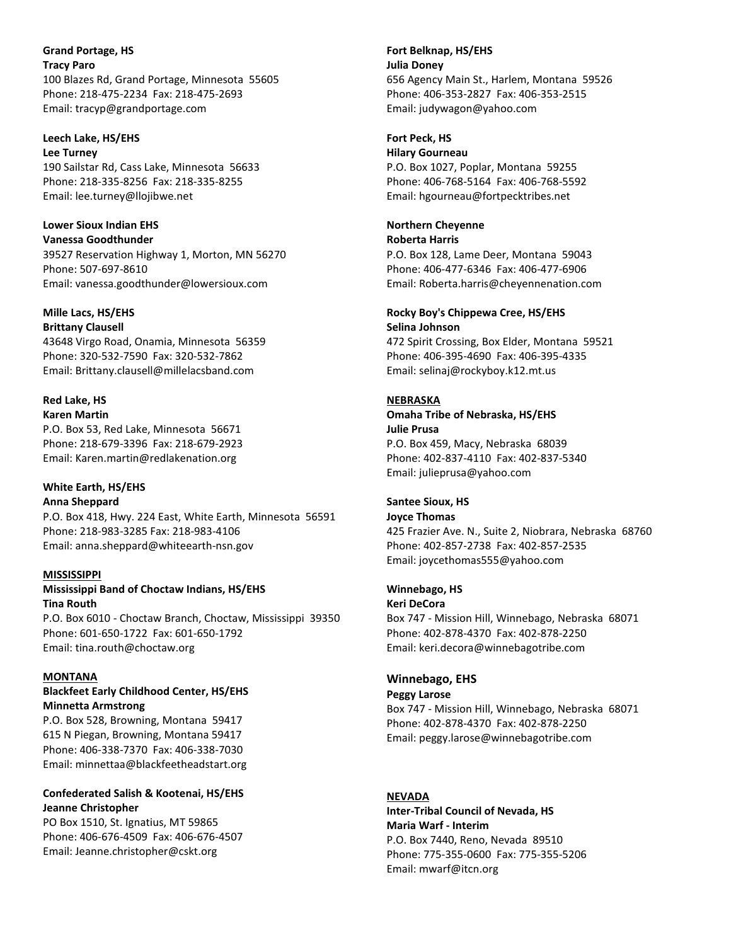**Grand Portage, HS Tracy Paro** 100 Blazes Rd, Grand Portage, Minnesota 55605 Phone: 218-475-2234 Fax: 218-475-2693 Email: tracyp@grandportage.com

#### **Leech Lake, HS/EHS**

**Lee Turney** 190 Sailstar Rd, Cass Lake, Minnesota 56633 Phone: 218-335-8256 Fax: 218-335-8255 Email: lee.turney@llojibwe.net

**Lower Sioux Indian EHS Vanessa Goodthunder** 39527 Reservation Highway 1, Morton, MN 56270 Phone: 507-697-8610 Email: vanessa.goodthunder@lowersioux.com

# **Mille Lacs, HS/EHS**

**Brittany Clausell** 43648 Virgo Road, Onamia, Minnesota 56359 Phone: 320-532-7590 Fax: 320-532-7862 Email: Brittany.clausell@millelacsband.com

#### **Red Lake, HS Karen Martin**

P.O. Box 53, Red Lake, Minnesota 56671 Phone: 218-679-3396 Fax: 218-679-2923 Email: Karen.martin@redlakenation.org

# **White Earth, HS/EHS**

**Anna Sheppard** P.O. Box 418, Hwy. 224 East, White Earth, Minnesota 56591 Phone: 218-983-3285 Fax: 218-983-4106 Email: anna.sheppard@whiteearth-nsn.gov

#### **MISSISSIPPI**

**Mississippi Band of Choctaw Indians, HS/EHS Tina Routh**

P.O. Box 6010 - Choctaw Branch, Choctaw, Mississippi 39350 Phone: 601-650-1722 Fax: 601-650-1792 Email: tina.routh@choctaw.org

#### **MONTANA**

### **Blackfeet Early Childhood Center, HS/EHS Minnetta Armstrong**

P.O. Box 528, Browning, Montana 59417 615 N Piegan, Browning, Montana 59417 Phone: 406-338-7370 Fax: 406-338-7030 Email: minnettaa@blackfeetheadstart.org

#### **Confederated Salish & Kootenai, HS/EHS Jeanne Christopher**

PO Box 1510, St. Ignatius, MT 59865 Phone: 406-676-4509 Fax: 406-676-4507 Email: Jeanne.christopher@cskt.org

**Fort Belknap, HS/EHS Julia Doney** 656 Agency Main St., Harlem, Montana 59526 Phone: 406-353-2827 Fax: 406-353-2515 Email: judywagon@yahoo.com

### **Fort Peck, HS**

**Hilary Gourneau** P.O. Box 1027, Poplar, Montana 59255 Phone: 406-768-5164 Fax: 406-768-5592 Email: hgourneau@fortpecktribes.net

# **Northern Cheyenne**

**Roberta Harris** P.O. Box 128, Lame Deer, Montana 59043 Phone: 406-477-6346 Fax: 406-477-6906 Email: Roberta.harris@cheyennenation.com

#### **Rocky Boy's Chippewa Cree, HS/EHS Selina Johnson**

472 Spirit Crossing, Box Elder, Montana 59521 Phone: 406-395-4690 Fax: 406-395-4335 Email: selinaj@rockyboy.k12.mt.us

#### **NEBRASKA**

**Omaha Tribe of Nebraska, HS/EHS Julie Prusa** P.O. Box 459, Macy, Nebraska 68039 Phone: 402-837-4110 Fax: 402-837-5340 Email: julieprusa@yahoo.com

#### **Santee Sioux, HS**

**Joyce Thomas** 425 Frazier Ave. N., Suite 2, Niobrara, Nebraska 68760 Phone: 402-857-2738 Fax: 402-857-2535 Email: joycethomas555@yahoo.com

#### **Winnebago, HS**

**Keri DeCora** Box 747 - Mission Hill, Winnebago, Nebraska 68071 Phone: 402-878-4370 Fax: 402-878-2250 Email: keri.decora@winnebagotribe.com

### **Winnebago, EHS**

**Peggy Larose**

Box 747 - Mission Hill, Winnebago, Nebraska 68071 Phone: 402-878-4370 Fax: 402-878-2250 Email: peggy.larose@winnebagotribe.com

### **NEVADA**

**Inter-Tribal Council of Nevada, HS Maria Warf - Interim** P.O. Box 7440, Reno, Nevada 89510 Phone: 775-355-0600 Fax: 775-355-5206 Email: mwarf@itcn.org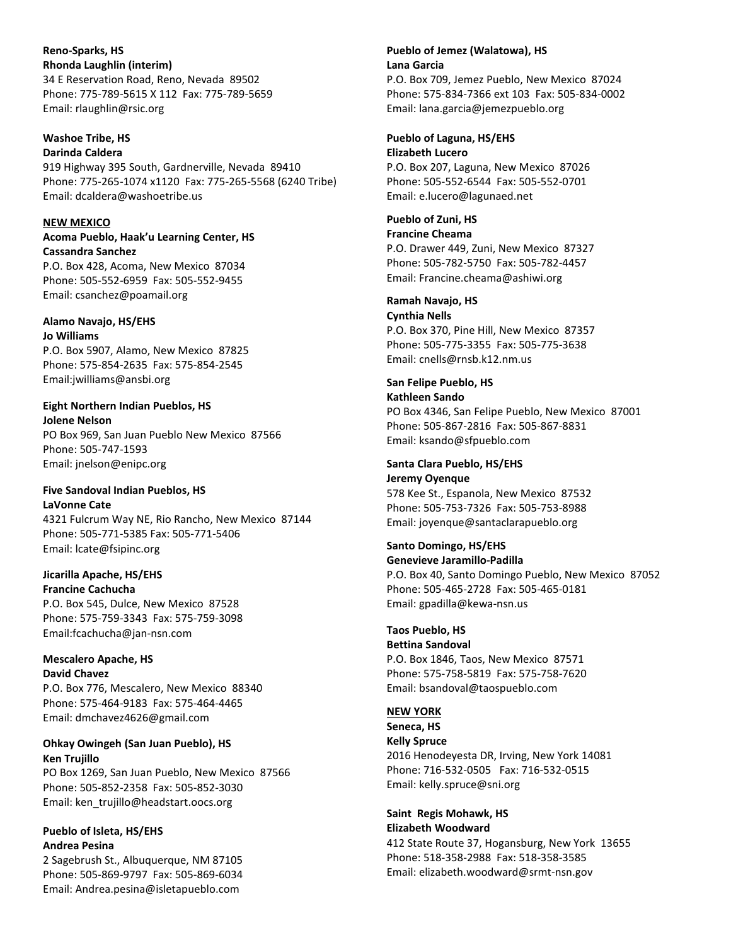**Reno-Sparks, HS Rhonda Laughlin (interim)** 34 E Reservation Road, Reno, Nevada 89502 Phone: 775-789-5615 X 112 Fax: 775-789-5659 Email: rlaughlin@rsic.org

### **Washoe Tribe, HS**

**Darinda Caldera** 919 Highway 395 South, Gardnerville, Nevada 89410 Phone: 775-265-1074 x1120 Fax: 775-265-5568 (6240 Tribe) Email: dcaldera@washoetribe.us

#### **NEW MEXICO**

### **Acoma Pueblo, Haak'u Learning Center, HS Cassandra Sanchez**

P.O. Box 428, Acoma, New Mexico 87034 Phone: 505-552-6959 Fax: 505-552-9455 Email: csanchez@poamail.org

#### **Alamo Navajo, HS/EHS Jo Williams**

P.O. Box 5907, Alamo, New Mexico 87825 Phone: 575-854-2635 Fax: 575-854-2545 Email:jwilliams@ansbi.org

# **Eight Northern Indian Pueblos, HS**

**Jolene Nelson** PO Box 969, San Juan Pueblo New Mexico 87566 Phone: 505-747-1593 Email: jnelson@enipc.org

#### **Five Sandoval Indian Pueblos, HS LaVonne Cate**

4321 Fulcrum Way NE, Rio Rancho, New Mexico 87144 Phone: 505-771-5385 Fax: 505-771-5406 Email: lcate@fsipinc.org

#### **Jicarilla Apache, HS/EHS Francine Cachucha**

P.O. Box 545, Dulce, New Mexico 87528 Phone: 575-759-3343 Fax: 575-759-3098 Email:fcachucha@jan-nsn.com

### **Mescalero Apache, HS David Chavez**

P.O. Box 776, Mescalero, New Mexico 88340 Phone: 575-464-9183 Fax: 575-464-4465 Email: dmchavez4626@gmail.com

### **Ohkay Owingeh (San Juan Pueblo), HS Ken Trujillo**

PO Box 1269, San Juan Pueblo, New Mexico 87566 Phone: 505-852-2358 Fax: 505-852-3030 Email: ken\_trujillo@headstart.oocs.org

### **Pueblo of Isleta, HS/EHS Andrea Pesina**

2 Sagebrush St., Albuquerque, NM 87105 Phone: 505-869-9797 Fax: 505-869-6034 Email: Andrea.pesina@isletapueblo.com

# **Pueblo of Jemez (Walatowa), HS Lana Garcia**

P.O. Box 709, Jemez Pueblo, New Mexico 87024 Phone: 575-834-7366 ext 103 Fax: 505-834-0002 Email: lana.garcia@jemezpueblo.org

### **Pueblo of Laguna, HS/EHS Elizabeth Lucero**

P.O. Box 207, Laguna, New Mexico 87026 Phone: 505-552-6544 Fax: 505-552-0701 Email: e.lucero@lagunaed.net

**Pueblo of Zuni, HS Francine Cheama** P.O. Drawer 449, Zuni, New Mexico 87327

Phone: 505-782-5750 Fax: 505-782-4457 Email: Francine.cheama@ashiwi.org

### **Ramah Navajo, HS**

**Cynthia Nells** P.O. Box 370, Pine Hill, New Mexico 87357 Phone: 505-775-3355 Fax: 505-775-3638 Email: cnells@rnsb.k12.nm.us

### **San Felipe Pueblo, HS**

**Kathleen Sando** PO Box 4346, San Felipe Pueblo, New Mexico 87001 Phone: 505-867-2816 Fax: 505-867-8831 Email: ksando@sfpueblo.com

# **Santa Clara Pueblo, HS/EHS**

**Jeremy Oyenque** 578 Kee St., Espanola, New Mexico 87532 Phone: 505-753-7326 Fax: 505-753-8988 Email: joyenque@santaclarapueblo.org

#### **Santo Domingo, HS/EHS Genevieve Jaramillo-Padilla**

P.O. Box 40, Santo Domingo Pueblo, New Mexico 87052 Phone: 505-465-2728 Fax: 505-465-0181 Email: gpadilla@kewa-nsn.us

### **Taos Pueblo, HS**

**Bettina Sandoval** P.O. Box 1846, Taos, New Mexico 87571 Phone: 575-758-5819 Fax: 575-758-7620 Email: bsandoval@taospueblo.com

### **NEW YORK**

**Seneca, HS Kelly Spruce** 2016 Henodeyesta DR, Irving, New York 14081 Phone: 716-532-0505 Fax: 716-532-0515 Email: kelly.spruce@sni.org

#### **Saint Regis Mohawk, HS Elizabeth Woodward**

412 State Route 37, Hogansburg, New York 13655 Phone: 518-358-2988 Fax: 518-358-3585 Email: elizabeth.woodward@srmt-nsn.gov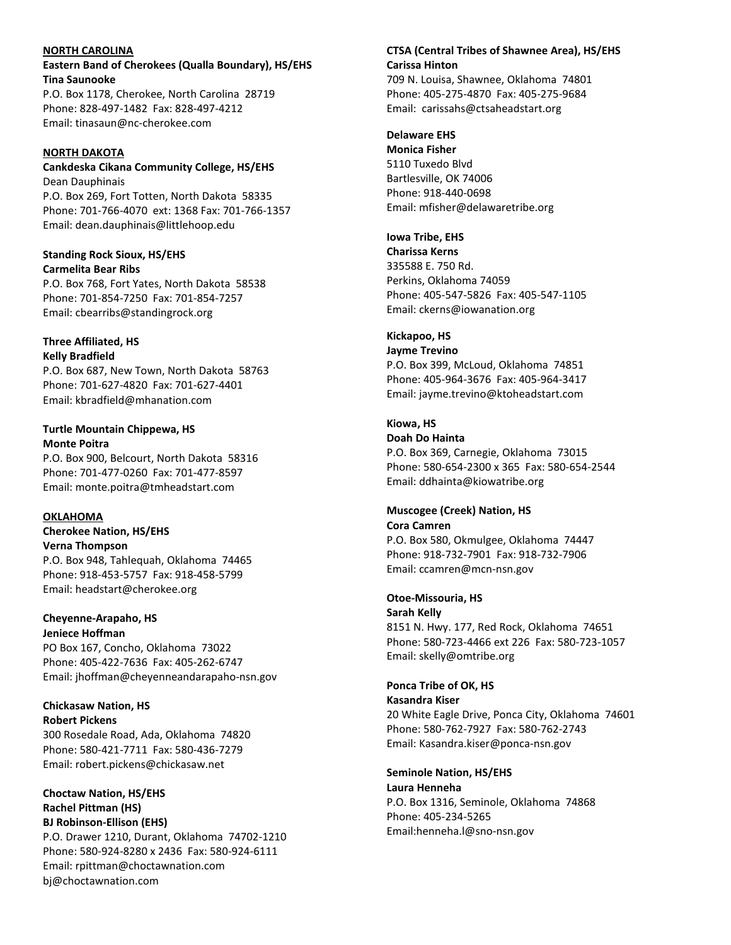#### **NORTH CAROLINA**

**Eastern Band of Cherokees (Qualla Boundary), HS/EHS Tina Saunooke** P.O. Box 1178, Cherokee, North Carolina 28719 Phone: 828-497-1482 Fax: 828-497-4212 Email: tinasaun@nc-cherokee.com

### **NORTH DAKOTA**

**Cankdeska Cikana Community College, HS/EHS** Dean Dauphinais P.O. Box 269, Fort Totten, North Dakota 58335

Phone: 701-766-4070 ext: 1368 Fax: 701-766-1357 Email: dean.dauphinais@littlehoop.edu

**Standing Rock Sioux, HS/EHS Carmelita Bear Ribs** P.O. Box 768, Fort Yates, North Dakota 58538 Phone: 701-854-7250 Fax: 701-854-7257 Email: cbearribs@standingrock.org

### **Three Affiliated, HS Kelly Bradfield**

P.O. Box 687, New Town, North Dakota 58763 Phone: 701-627-4820 Fax: 701-627-4401 Email: kbradfield@mhanation.com

#### **Turtle Mountain Chippewa, HS Monte Poitra**

P.O. Box 900, Belcourt, North Dakota 58316 Phone: 701-477-0260 Fax: 701-477-8597 Email: monte.poitra@tmheadstart.com

# **OKLAHOMA**

**Cherokee Nation, HS/EHS Verna Thompson** P.O. Box 948, Tahlequah, Oklahoma 74465 Phone: 918-453-5757 Fax: 918-458-5799 Email: headstart@cherokee.org

# **Cheyenne-Arapaho, HS Jeniece Hoffman**

PO Box 167, Concho, Oklahoma 73022 Phone: 405-422-7636 Fax: 405-262-6747 Email: jhoffman@cheyenneandarapaho-nsn.gov

**Chickasaw Nation, HS Robert Pickens** 300 Rosedale Road, Ada, Oklahoma 74820 Phone: 580-421-7711 Fax: 580-436-7279 Email: robert.pickens@chickasaw.net

**Choctaw Nation, HS/EHS Rachel Pittman (HS) BJ Robinson-Ellison (EHS)** P.O. Drawer 1210, Durant, Oklahoma 74702-1210 Phone: 580-924-8280 x 2436 Fax: 580-924-6111 Email: rpittman@choctawnation.com bj@choctawnation.com

### **CTSA (Central Tribes of Shawnee Area), HS/EHS Carissa Hinton**

709 N. Louisa, Shawnee, Oklahoma 74801 Phone: 405-275-4870 Fax: 405-275-9684 Email: carissahs@ctsaheadstart.org

### **Delaware EHS**

**Monica Fisher** 5110 Tuxedo Blvd Bartlesville, OK 74006 Phone: 918-440-0698 Email: mfisher@delawaretribe.org

**Iowa Tribe, EHS**

**Charissa Kerns** 335588 E. 750 Rd. Perkins, Oklahoma 74059 Phone: 405-547-5826 Fax: 405-547-1105 Email: ckerns@iowanation.org

# **Kickapoo, HS**

**Jayme Trevino** P.O. Box 399, McLoud, Oklahoma 74851 Phone: 405-964-3676 Fax: 405-964-3417 Email: jayme.trevino@ktoheadstart.com

# **Kiowa, HS**

**Doah Do Hainta** P.O. Box 369, Carnegie, Oklahoma 73015 Phone: 580-654-2300 x 365 Fax: 580-654-2544 Email: ddhainta@kiowatribe.org

#### **Muscogee (Creek) Nation, HS Cora Camren**

P.O. Box 580, Okmulgee, Oklahoma 74447 Phone: 918-732-7901 Fax: 918-732-7906 Email: ccamren@mcn-nsn.gov

**Otoe-Missouria, HS Sarah Kelly** 8151 N. Hwy. 177, Red Rock, Oklahoma 74651 Phone: 580-723-4466 ext 226 Fax: 580-723-1057 Email: skelly@omtribe.org

### **Ponca Tribe of OK, HS Kasandra Kiser** 20 White Eagle Drive, Ponca City, Oklahoma 74601

Phone: 580-762-7927 Fax: 580-762-2743 Email: Kasandra.kiser@ponca-nsn.gov

### **Seminole Nation, HS/EHS Laura Henneha** P.O. Box 1316, Seminole, Oklahoma 74868 Phone: 405-234-5265 Email:henneha.l@sno-nsn.gov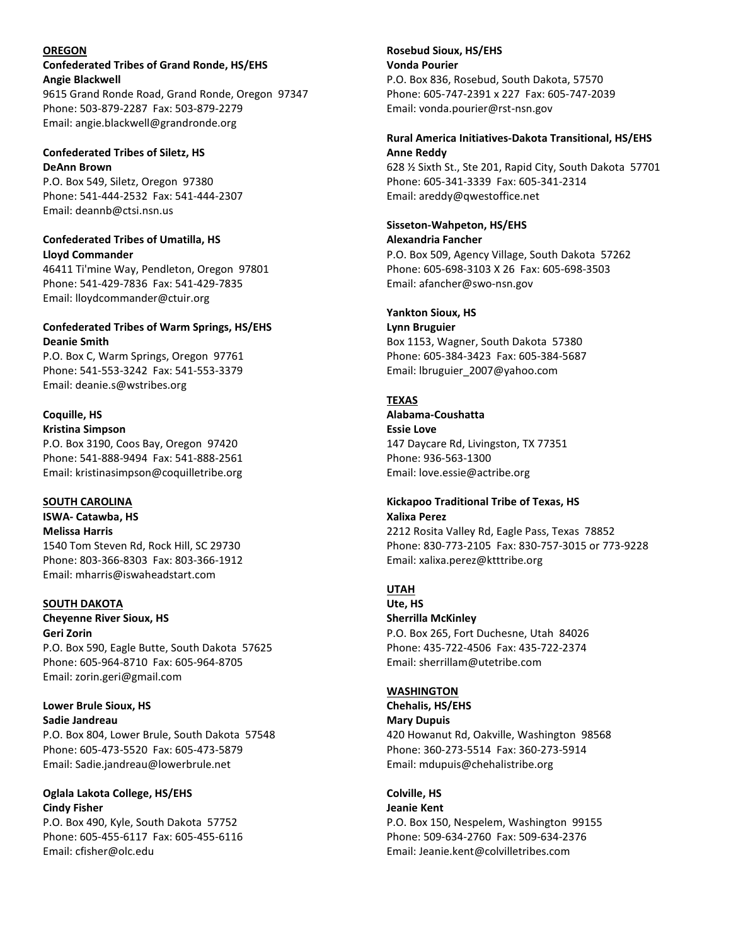#### **OREGON**

### **Confederated Tribes of Grand Ronde, HS/EHS Angie Blackwell**

9615 Grand Ronde Road, Grand Ronde, Oregon 97347 Phone: 503-879-2287 Fax: 503-879-2279 Email: angie.blackwell@grandronde.org

#### **Confederated Tribes of Siletz, HS DeAnn Brown**

P.O. Box 549, Siletz, Oregon 97380 Phone: 541-444-2532 Fax: 541-444-2307 Email: deannb@ctsi.nsn.us

#### **Confederated Tribes of Umatilla, HS Lloyd Commander**

46411 Ti'mine Way, Pendleton, Oregon 97801 Phone: 541-429-7836 Fax: 541-429-7835 Email: lloydcommander@ctuir.org

### **Confederated Tribes of Warm Springs, HS/EHS Deanie Smith**

P.O. Box C, Warm Springs, Oregon 97761 Phone: 541-553-3242 Fax: 541-553-3379 Email: deanie.s@wstribes.org

# **Coquille, HS**

**Kristina Simpson** P.O. Box 3190, Coos Bay, Oregon 97420 Phone: 541-888-9494 Fax: 541-888-2561 Email: kristinasimpson@coquilletribe.org

### **SOUTH CAROLINA**

**ISWA- Catawba, HS Melissa Harris** 1540 Tom Steven Rd, Rock Hill, SC 29730 Phone: 803-366-8303 Fax: 803-366-1912 Email: mharris@iswaheadstart.com

### **SOUTH DAKOTA**

# **Cheyenne River Sioux, HS Geri Zorin**

P.O. Box 590, Eagle Butte, South Dakota 57625 Phone: 605-964-8710 Fax: 605-964-8705 Email: zorin.geri@gmail.com

#### **Lower Brule Sioux, HS Sadie Jandreau**

P.O. Box 804, Lower Brule, South Dakota 57548 Phone: 605-473-5520 Fax: 605-473-5879 Email: Sadie.jandreau@lowerbrule.net

### **Oglala Lakota College, HS/EHS Cindy Fisher**

P.O. Box 490, Kyle, South Dakota 57752 Phone: 605-455-6117 Fax: 605-455-6116 Email: cfisher@olc.edu

### **Rosebud Sioux, HS/EHS Vonda Pourier**  P.O. Box 836, Rosebud, South Dakota, 57570 Phone: 605-747-2391 x 227 Fax: 605-747-2039 Email: vonda.pourier@rst-nsn.gov

#### **Rural America Initiatives-Dakota Transitional, HS/EHS Anne Reddy**

628 ½ Sixth St., Ste 201, Rapid City, South Dakota 57701 Phone: 605-341-3339 Fax: 605-341-2314 Email: areddy@qwestoffice.net

# **Sisseton-Wahpeton, HS/EHS**

**Alexandria Fancher** P.O. Box 509, Agency Village, South Dakota 57262 Phone: 605-698-3103 X 26 Fax: 605-698-3503 Email: afancher@swo-nsn.gov

### **Yankton Sioux, HS**

**Lynn Bruguier** Box 1153, Wagner, South Dakota 57380 Phone: 605-384-3423 Fax: 605-384-5687 Email: lbruguier\_2007@yahoo.com

### **TEXAS**

# **Alabama-Coushatta**

**Essie Love** 147 Daycare Rd, Livingston, TX 77351 Phone: 936-563-1300 Email: love.essie@actribe.org

#### **Kickapoo Traditional Tribe of Texas, HS Xalixa Perez**

2212 Rosita Valley Rd, Eagle Pass, Texas 78852 Phone: 830-773-2105 Fax: 830-757-3015 or 773-9228 Email: xalixa.perez@ktttribe.org

### **UTAH**

**Ute, HS Sherrilla McKinley** P.O. Box 265, Fort Duchesne, Utah 84026 Phone: 435-722-4506 Fax: 435-722-2374 Email: sherrillam@utetribe.com

### **WASHINGTON**

**Chehalis, HS/EHS Mary Dupuis** 420 Howanut Rd, Oakville, Washington 98568 Phone: 360-273-5514 Fax: 360-273-5914 Email: mdupuis@chehalistribe.org

#### **Colville, HS Jeanie Kent**

P.O. Box 150, Nespelem, Washington 99155 Phone: 509-634-2760 Fax: 509-634-2376 Email: Jeanie.kent@colvilletribes.com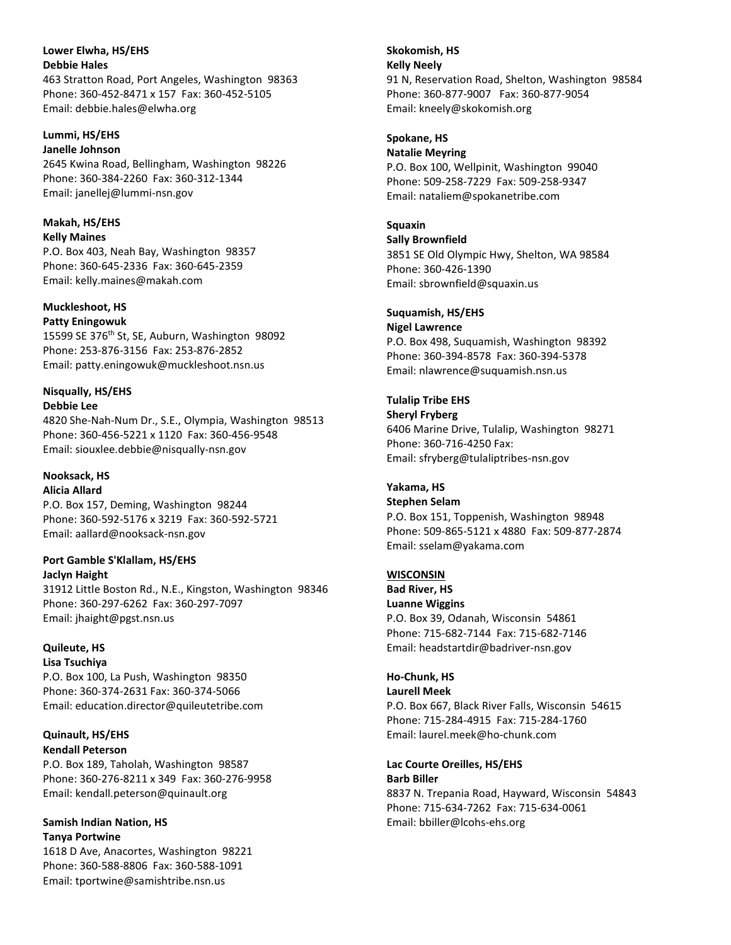**Lower Elwha, HS/EHS Debbie Hales** 463 Stratton Road, Port Angeles, Washington 98363 Phone: 360-452-8471 x 157 Fax: 360-452-5105 Email: debbie.hales@elwha.org

#### **Lummi, HS/EHS Janelle Johnson** 2645 Kwina Road, Bellingham, Washington 98226

Phone: 360-384-2260 Fax: 360-312-1344 Email: janellej@lummi-nsn.gov

#### **Makah, HS/EHS Kelly Maines**

P.O. Box 403, Neah Bay, Washington 98357 Phone: 360-645-2336 Fax: 360-645-2359 Email: kelly.maines@makah.com

### **Muckleshoot, HS**

**Patty Eningowuk** 15599 SE 376<sup>th</sup> St, SE, Auburn, Washington 98092 Phone: 253-876-3156 Fax: 253-876-2852 Email: patty.eningowuk@muckleshoot.nsn.us

# **Nisqually, HS/EHS**

**Debbie Lee**

4820 She-Nah-Num Dr., S.E., Olympia, Washington 98513 Phone: 360-456-5221 x 1120 Fax: 360-456-9548 Email: siouxlee.debbie@nisqually-nsn.gov

### **Nooksack, HS Alicia Allard**

P.O. Box 157, Deming, Washington 98244 Phone: 360-592-5176 x 3219 Fax: 360-592-5721 Email: aallard@nooksack-nsn.gov

# **Port Gamble S'Klallam, HS/EHS**

**Jaclyn Haight** 31912 Little Boston Rd., N.E., Kingston, Washington 98346 Phone: 360-297-6262 Fax: 360-297-7097 Email: jhaight@pgst.nsn.us

#### **Quileute, HS Lisa Tsuchiya**

P.O. Box 100, La Push, Washington 98350 Phone: 360-374-2631 Fax: 360-374-5066 Email: education.director@quileutetribe.com

### **Quinault, HS/EHS Kendall Peterson**

P.O. Box 189, Taholah, Washington 98587 Phone: 360-276-8211 x 349 Fax: 360-276-9958 Email: kendall.peterson@quinault.org

#### **Samish Indian Nation, HS Tanya Portwine**

1618 D Ave, Anacortes, Washington 98221 Phone: 360-588-8806 Fax: 360-588-1091 Email: tportwine@samishtribe.nsn.us

**Skokomish, HS Kelly Neely** 91 N, Reservation Road, Shelton, Washington 98584 Phone: 360-877-9007 Fax: 360-877-9054 Email: kneely@skokomish.org

# **Spokane, HS**

**Natalie Meyring** P.O. Box 100, Wellpinit, Washington 99040 Phone: 509-258-7229 Fax: 509-258-9347 Email: nataliem@spokanetribe.com

# **Squaxin**

**Sally Brownfield** 3851 SE Old Olympic Hwy, Shelton, WA 98584 Phone: 360-426-1390 Email: sbrownfield@squaxin.us

# **Suquamish, HS/EHS**

**Nigel Lawrence** P.O. Box 498, Suquamish, Washington 98392 Phone: 360-394-8578 Fax: 360-394-5378 Email: nlawrence@suquamish.nsn.us

# **Tulalip Tribe EHS**

**Sheryl Fryberg** 6406 Marine Drive, Tulalip, Washington 98271 Phone: 360-716-4250 Fax: Email: sfryberg@tulaliptribes-nsn.gov

# **Yakama, HS**

**Stephen Selam** P.O. Box 151, Toppenish, Washington 98948 Phone: 509-865-5121 x 4880 Fax: 509-877-2874 Email: sselam@yakama.com

# **WISCONSIN**

**Bad River, HS Luanne Wiggins** P.O. Box 39, Odanah, Wisconsin 54861 Phone: 715-682-7144 Fax: 715-682-7146 Email: headstartdir@badriver-nsn.gov

# **Ho-Chunk, HS**

**Laurell Meek**

P.O. Box 667, Black River Falls, Wisconsin 54615 Phone: 715-284-4915 Fax: 715-284-1760 Email: laurel.meek@ho-chunk.com

#### **Lac Courte Oreilles, HS/EHS Barb Biller**

8837 N. Trepania Road, Hayward, Wisconsin 54843 Phone: 715-634-7262 Fax: 715-634-0061 Email: bbiller@lcohs-ehs.org